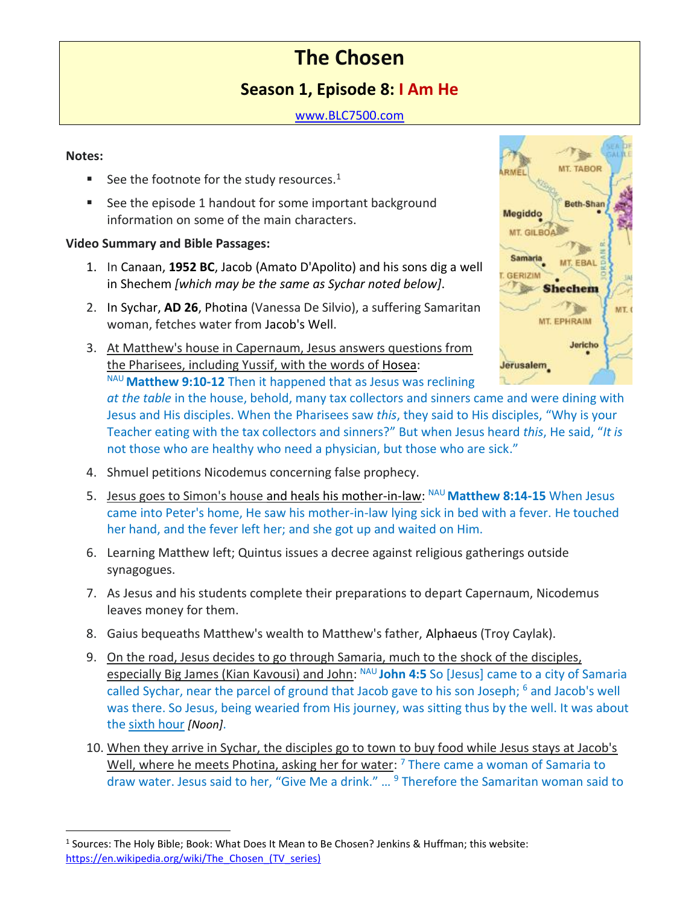# **The Chosen**

# **Season 1, Episode 8: I Am He**

### [www.BLC7500.com](http://www.blc7500.com/)

#### **Notes:**

- See the footnote for the study resources. $<sup>1</sup>$ </sup>
- See the episode 1 handout for some important background information on some of the main characters.

#### **Video Summary and Bible Passages:**

- 1. In Canaan, **1952 BC**, Jacob (Amato D'Apolito) and his sons dig a well in Shechem *[which may be the same as Sychar noted below]*.
- 2. In Sychar, **AD 26**, Photina (Vanessa De Silvio), a suffering Samaritan woman, fetches water from Jacob's Well.
- 3. At Matthew's house in Capernaum, Jesus answers questions from the Pharisees, including Yussif, with the words of Hosea: NAU **Matthew 9:10-12** Then it happened that as Jesus was reclining



*at the table* in the house, behold, many tax collectors and sinners came and were dining with Jesus and His disciples. When the Pharisees saw *this*, they said to His disciples, "Why is your Teacher eating with the tax collectors and sinners?" But when Jesus heard *this*, He said, "*It is*  not those who are healthy who need a physician, but those who are sick."

- 4. Shmuel petitions Nicodemus concerning false prophecy.
- 5. Jesus goes to Simon's house and heals his mother-in-law: NAU Matthew 8:14-15 When Jesus came into Peter's home, He saw his mother-in-law lying sick in bed with a fever. He touched her hand, and the fever left her; and she got up and waited on Him.
- 6. Learning Matthew left; Quintus issues a decree against religious gatherings outside synagogues.
- 7. As Jesus and his students complete their preparations to depart Capernaum, Nicodemus leaves money for them.
- 8. Gaius bequeaths Matthew's wealth to Matthew's father, Alphaeus (Troy Caylak).
- 9. On the road, Jesus decides to go through Samaria, much to the shock of the disciples, especially Big James (Kian Kavousi) and John: NAU **John 4:5** So [Jesus] came to a city of Samaria called Sychar, near the parcel of ground that Jacob gave to his son Joseph; <sup>6</sup> and Jacob's well was there. So Jesus, being wearied from His journey, was sitting thus by the well. It was about the sixth hour *[Noon]*.
- 10. When they arrive in Sychar, the disciples go to town to buy food while Jesus stays at Jacob's Well, where he meets Photina, asking her for water: <sup>7</sup> There came a woman of Samaria to draw water. Jesus said to her, "Give Me a drink." ... <sup>9</sup> Therefore the Samaritan woman said to

<sup>&</sup>lt;sup>1</sup> Sources: The Holy Bible; Book: What Does It Mean to Be Chosen? Jenkins & Huffman; this website: https://en.wikipedia.org/wiki/The Chosen (TV series)